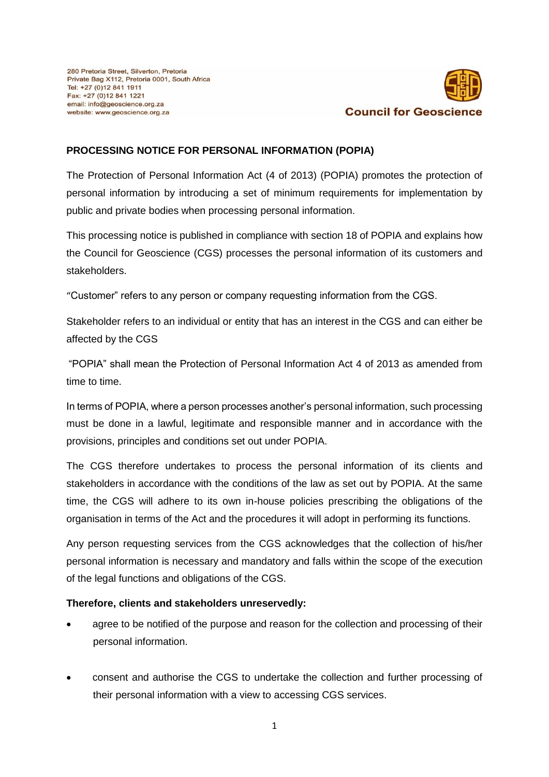

## **PROCESSING NOTICE FOR PERSONAL INFORMATION (POPIA)**

The Protection of Personal Information Act (4 of 2013) (POPIA) promotes the protection of personal information by introducing a set of minimum requirements for implementation by public and private bodies when processing personal information.

This processing notice is published in compliance with section 18 of POPIA and explains how the Council for Geoscience (CGS) processes the personal information of its customers and stakeholders.

"Customer" refers to any person or company requesting information from the CGS.

Stakeholder refers to an individual or entity that has an interest in the CGS and can either be affected by the CGS

"POPIA" shall mean the Protection of Personal Information Act 4 of 2013 as amended from time to time.

In terms of POPIA, where a person processes another's personal information, such processing must be done in a lawful, legitimate and responsible manner and in accordance with the provisions, principles and conditions set out under POPIA.

The CGS therefore undertakes to process the personal information of its clients and stakeholders in accordance with the conditions of the law as set out by POPIA. At the same time, the CGS will adhere to its own in-house policies prescribing the obligations of the organisation in terms of the Act and the procedures it will adopt in performing its functions.

Any person requesting services from the CGS acknowledges that the collection of his/her personal information is necessary and mandatory and falls within the scope of the execution of the legal functions and obligations of the CGS.

## **Therefore, clients and stakeholders unreservedly:**

- agree to be notified of the purpose and reason for the collection and processing of their personal information.
- consent and authorise the CGS to undertake the collection and further processing of their personal information with a view to accessing CGS services.